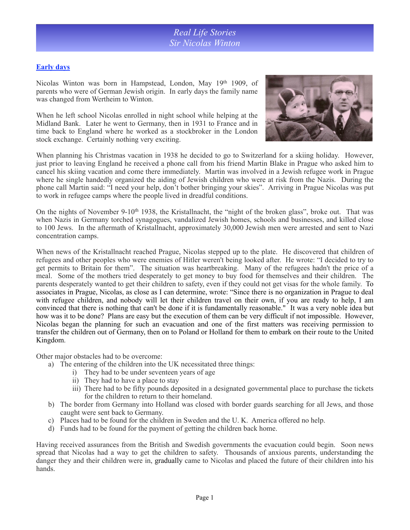### **Early days**

Nicolas Winton was born in Hampstead, London, May 19th 1909, of parents who were of German Jewish origin. In early days the family name was changed from Wertheim to Winton.

When he left school Nicolas enrolled in night school while helping at the Midland Bank. Later he went to Germany, then in 1931 to France and in time back to England where he worked as a stockbroker in the London stock exchange. Certainly nothing very exciting.



When planning his Christmas vacation in 1938 he decided to go to Switzerland for a skiing holiday. However, just prior to leaving England he received a phone call from his friend Martin Blake in Prague who asked him to cancel his skiing vacation and come there immediately. Martin was involved in a Jewish refugee work in Prague where he single handedly organized the aiding of Jewish children who were at risk from the Nazis. During the phone call Martin said: "I need your help, don't bother bringing your skies". Arriving in Prague Nicolas was put to work in refugee camps where the people lived in dreadful conditions.

On the nights of November 9-10<sup>th</sup> 1938, the Kristallnacht, the "night of the broken glass", broke out. That was when Nazis in Germany torched synagogues, vandalized Jewish homes, schools and businesses, and killed close to 100 Jews. In the aftermath of Kristallnacht, approximately 30,000 Jewish men were arrested and sent to Nazi concentration camps.

When news of the Kristallnacht reached Prague, Nicolas stepped up to the plate. He discovered that children of refugees and other peoples who were enemies of Hitler weren't being looked after. He wrote: "I decided to try to get permits to Britain for them". The situation was heartbreaking. Many of the refugees hadn't the price of a meal. Some of the mothers tried desperately to get money to buy food for themselves and their children. The parents desperately wanted to get their children to safety, even if they could not get visas for the whole family. To associates in Prague, Nicolas, as close as I can determine, wrote: "Since there is no organization in Prague to deal with refugee children, and nobody will let their children travel on their own, if you are ready to help, I am convinced that there is nothing that can't be done if it is fundamentally reasonable." It was a very noble idea but how was it to be done? Plans are easy but the execution of them can be very difficult if not impossible. However, Nicolas began the planning for such an evacuation and one of the first matters was receiving permission to transfer the children out of Germany, then on to Poland or Holland for them to embark on their route to the United Kingdom.

Other major obstacles had to be overcome:

- a) The entering of the children into the UK necessitated three things:
	- i) They had to be under seventeen years of age
		- ii) They had to have a place to stay
		- iii) There had to be fifty pounds deposited in a designated governmental place to purchase the tickets for the children to return to their homeland.
- b) The border from Germany into Holland was closed with border guards searching for all Jews, and those caught were sent back to Germany.
- c) Places had to be found for the children in Sweden and the U. K. America offered no help.
- d) Funds had to be found for the payment of getting the children back home.

Having received assurances from the British and Swedish governments the evacuation could begin. Soon news spread that Nicolas had a way to get the children to safety. Thousands of anxious parents, understanding the danger they and their children were in, gradually came to Nicolas and placed the future of their children into his hands.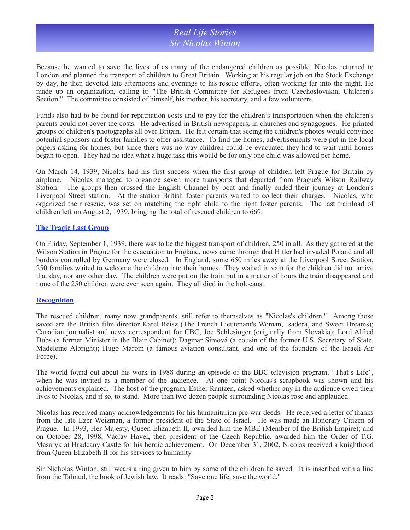## *Real Life Stories Sir Nicolas Winton*

Because he wanted to save the lives of as many of the endangered children as possible, Nicolas returned to London and planned the transport of children to Great Britain. Working at his regular job on the Stock Exchange by day, he then devoted late afternoons and evenings to his rescue efforts, often working far into the night. He made up an organization, calling it: "The British Committee for Refugees from Czechoslovakia, Children's Section." The committee consisted of himself, his mother, his secretary, and a few volunteers.

Funds also had to be found for repatriation costs and to pay for the children's transportation when the children's parents could not cover the costs. He advertised in British newspapers, in churches and synagogues. He printed groups of children's photographs all over Britain. He felt certain that seeing the children's photos would convince potential sponsors and foster families to offer assistance. To find the homes, advertisements were put in the local papers asking for homes, but since there was no way children could be evacuated they had to wait until homes began to open. They had no idea what a huge task this would be for only one child was allowed per home.

On March 14, 1939, Nicolas had his first success when the first group of children left Prague for Britain by airplane. Nicolas managed to organize seven more transports that departed from Prague's Wilson Railway Station. The groups then crossed the English Channel by boat and finally ended their journey at London's Liverpool Street station. At the station British foster parents waited to collect their charges. Nicolas, who organized their rescue, was set on matching the right child to the right foster parents. The last trainload of children left on August 2, 1939, bringing the total of rescued children to 669.

#### **The Tragic Last Group**

On Friday, September 1, 1939, there was to be the biggest transport of children, 250 in all. As they gathered at the Wilson Station in Prague for the evacuation to England, news came through that Hitler had invaded Poland and all borders controlled by Germany were closed. In England, some 650 miles away at the Liverpool Street Station, 250 families waited to welcome the children into their homes. They waited in vain for the children did not arrive that day, nor any other day. The children were put on the train but in a matter of hours the train disappeared and none of the 250 children were ever seen again. They all died in the holocaust.

#### **Recognition**

The rescued children, many now grandparents, still refer to themselves as "Nicolas's children." Among those saved are the British film director Karel Reisz (The French Lieutenant's Woman, Isadora, and Sweet Dreams); Canadian journalist and news correspondent for CBC, Joe Schlesinger (originally from Slovakia); Lord Alfred Dubs (a former Minister in the Blair Cabinet); Dagmar Símová (a cousin of the former U.S. Secretary of State, Madeleine Albright); Hugo Marom (a famous aviation consultant, and one of the founders of the Israeli Air Force).

The world found out about his work in 1988 during an episode of the BBC television program, "That's Life", when he was invited as a member of the audience. At one point Nicolas's scrapbook was shown and his achievements explained. The host of the program, Esther Rantzen, asked whether any in the audience owed their lives to Nicolas, and if so, to stand. More than two dozen people surrounding Nicolas rose and applauded.

Nicolas has received many acknowledgements for his humanitarian pre-war deeds. He received a letter of thanks from the late Ezer Weizman, a former president of the State of Israel. He was made an Honorary Citizen of Prague. In 1993, Her Majesty, Queen Elizabeth II, awarded him the MBE (Member of the British Empire); and on October 28, 1998, Václav Havel, then president of the Czech Republic, awarded him the Order of T.G. Masaryk at Hradcany Castle for his heroic achievement. On December 31, 2002, Nicolas received a knighthood from Queen Elizabeth II for his services to humanity.

Sir Nicholas Winton, still wears a ring given to him by some of the children he saved. It is inscribed with a line from the Talmud, the book of Jewish law. It reads: "Save one life, save the world."